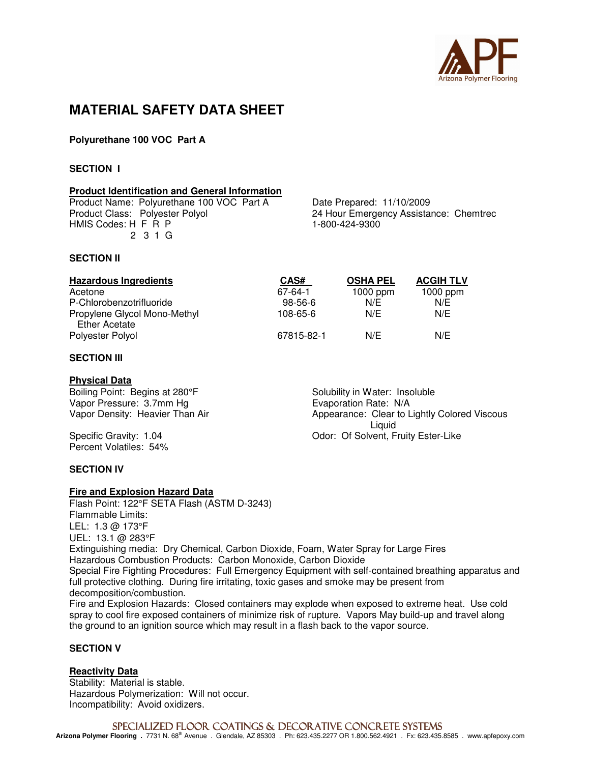

# **MATERIAL SAFETY DATA SHEET**

# **Polyurethane 100 VOC Part A**

### **SECTION I**

### **Product Identification and General Information**

Product Name: Polyurethane 100 VOC Part A Date Prepared: 11/10/2009<br>Product Class: Polyester Polyol 24 Hour Emergency Assista HMIS Codes: H F R P 2 3 1 G

24 Hour Emergency Assistance: Chemtrec<br>1-800-424-9300

### **SECTION II**

| <b>Hazardous Ingredients</b>                  | CAS#       | <b>OSHA PEL</b> | <b>ACGIH TLV</b> |
|-----------------------------------------------|------------|-----------------|------------------|
| Acetone                                       | 67-64-1    | 1000 ppm        | 1000 ppm         |
| P-Chlorobenzotrifluoride                      | $98-56-6$  | N/E             | N/E              |
| Propylene Glycol Mono-Methyl<br>Ether Acetate | 108-65-6   | N/E             | N/E              |
| Polyester Polyol                              | 67815-82-1 | N/E             | N/E              |

## **SECTION III**

### **Physical Data**

Boiling Point: Begins at 280°F Solubility in Water: Insoluble Vapor Pressure: 3.7mm Hg Solubility Evaporation Rate: N/A Vapor Pressure: 3.7mm Hg<br>Vapor Density: Heavier Than Air

Percent Volatiles: 54%

Appearance: Clear to Lightly Colored Viscous Liquid Specific Gravity: 1.04 **Conserverse Conserverse Conserverse Conserverse Conserverse Conserverse Conserverse Conserverse Conserverse Conserverse Conserverse Conserverse Conserverse Conserverse Conserverse Conserverse Conser** 

### **SECTION IV**

### **Fire and Explosion Hazard Data**

Flash Point: 122°F SETA Flash (ASTM D-3243) Flammable Limits: LEL: 1.3 @ 173°F UEL: 13.1 @ 283°F Extinguishing media: Dry Chemical, Carbon Dioxide, Foam, Water Spray for Large Fires Hazardous Combustion Products: Carbon Monoxide, Carbon Dioxide Special Fire Fighting Procedures: Full Emergency Equipment with self-contained breathing apparatus and full protective clothing. During fire irritating, toxic gases and smoke may be present from decomposition/combustion. Fire and Explosion Hazards: Closed containers may explode when exposed to extreme heat. Use cold spray to cool fire exposed containers of minimize risk of rupture. Vapors May build-up and travel along the ground to an ignition source which may result in a flash back to the vapor source.

# **SECTION V**

# **Reactivity Data**

Stability: Material is stable. Hazardous Polymerization: Will not occur. Incompatibility: Avoid oxidizers.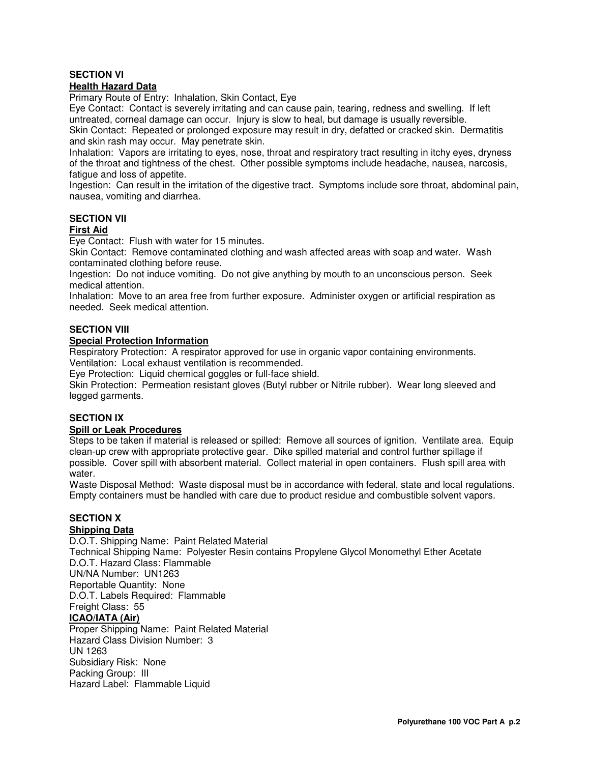# **SECTION VI**

## **Health Hazard Data**

Primary Route of Entry: Inhalation, Skin Contact, Eye

Eye Contact: Contact is severely irritating and can cause pain, tearing, redness and swelling. If left untreated, corneal damage can occur. Injury is slow to heal, but damage is usually reversible.

Skin Contact: Repeated or prolonged exposure may result in dry, defatted or cracked skin. Dermatitis and skin rash may occur. May penetrate skin.

Inhalation: Vapors are irritating to eyes, nose, throat and respiratory tract resulting in itchy eyes, dryness of the throat and tightness of the chest. Other possible symptoms include headache, nausea, narcosis, fatigue and loss of appetite.

Ingestion: Can result in the irritation of the digestive tract. Symptoms include sore throat, abdominal pain, nausea, vomiting and diarrhea.

### **SECTION VII**

### **First Aid**

Eye Contact: Flush with water for 15 minutes.

Skin Contact: Remove contaminated clothing and wash affected areas with soap and water. Wash contaminated clothing before reuse.

Ingestion: Do not induce vomiting. Do not give anything by mouth to an unconscious person. Seek medical attention.

Inhalation: Move to an area free from further exposure. Administer oxygen or artificial respiration as needed. Seek medical attention.

## **SECTION VIII**

### **Special Protection Information**

Respiratory Protection: A respirator approved for use in organic vapor containing environments. Ventilation: Local exhaust ventilation is recommended.

Eye Protection: Liquid chemical goggles or full-face shield.

Skin Protection: Permeation resistant gloves (Butyl rubber or Nitrile rubber). Wear long sleeved and legged garments.

# **SECTION IX**

### **Spill or Leak Procedures**

Steps to be taken if material is released or spilled: Remove all sources of ignition. Ventilate area. Equip clean-up crew with appropriate protective gear. Dike spilled material and control further spillage if possible. Cover spill with absorbent material. Collect material in open containers. Flush spill area with water.

Waste Disposal Method: Waste disposal must be in accordance with federal, state and local regulations. Empty containers must be handled with care due to product residue and combustible solvent vapors.

# **SECTION X**

# **Shipping Data**

D.O.T. Shipping Name: Paint Related Material Technical Shipping Name: Polyester Resin contains Propylene Glycol Monomethyl Ether Acetate D.O.T. Hazard Class: Flammable UN/NA Number: UN1263 Reportable Quantity: None D.O.T. Labels Required: Flammable Freight Class: 55 **ICAO/IATA (Air)** Proper Shipping Name: Paint Related Material Hazard Class Division Number: 3 UN 1263 Subsidiary Risk: None

Packing Group: III Hazard Label: Flammable Liquid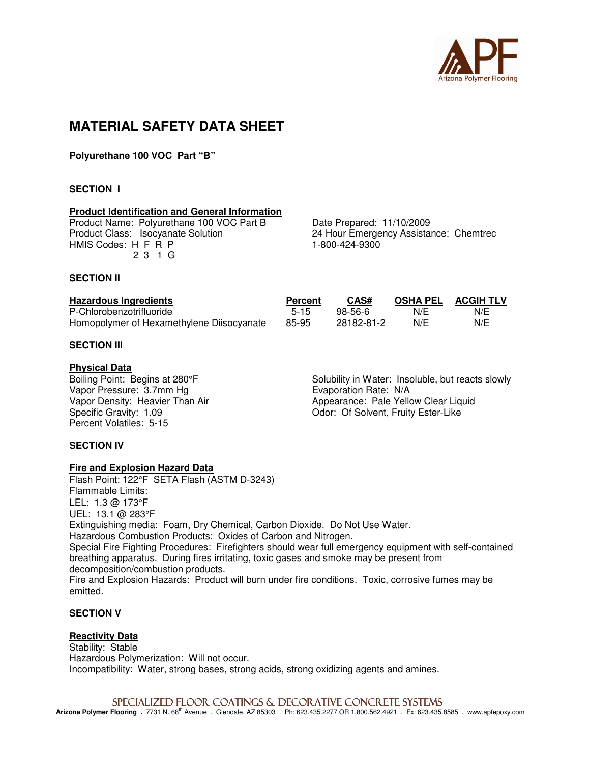

# **MATERIAL SAFETY DATA SHEET**

**Polyurethane 100 VOC Part "B"** 

### **SECTION I**

#### **Product Identification and General Information**

Product Name: Polyurethane 100 VOC Part B Date Prepared: 11/10/2009<br>Product Class: Isocyanate Solution 24 Hour Emergency Assista HMIS Codes: H F R P 1-800-424-9300 2 3 1 G

24 Hour Emergency Assistance: Chemtrec

### **SECTION II**

| <b>Hazardous Ingredients</b>              | Percent | CAS#       | <b>OSHA PEL</b> | <b>ACGIH TLV</b> |
|-------------------------------------------|---------|------------|-----------------|------------------|
| P-Chlorobenzotrifluoride                  | $5-15$  | 98-56-6    | N/E             | N/E              |
| Homopolymer of Hexamethylene Diisocyanate | 85-95   | 28182-81-2 | N/E             | N/E              |

### **SECTION III**

#### **Physical Data**

Vapor Pressure: 3.7mm Hg<br>
Vapor Density: Heavier Than Air **Example 2.1 September 2.1 Appearance: Pale Yello** Percent Volatiles: 5-15

Boiling Point: Begins at 280°F Solubility in Water: Insoluble, but reacts slowly Vapor Density: Heavier Than Air Appearance: Pale Yellow Clear Liquid Odor: Of Solvent, Fruity Ester-Like

### **SECTION IV**

### **Fire and Explosion Hazard Data**

Flash Point: 122°F SETA Flash (ASTM D-3243) Flammable Limits: LEL: 1.3 @ 173°F UEL: 13.1 @ 283°F Extinguishing media: Foam, Dry Chemical, Carbon Dioxide. Do Not Use Water. Hazardous Combustion Products: Oxides of Carbon and Nitrogen. Special Fire Fighting Procedures: Firefighters should wear full emergency equipment with self-contained breathing apparatus. During fires irritating, toxic gases and smoke may be present from decomposition/combustion products. Fire and Explosion Hazards: Product will burn under fire conditions. Toxic, corrosive fumes may be emitted.

### **SECTION V**

# **Reactivity Data**

Stability: Stable Hazardous Polymerization: Will not occur. Incompatibility: Water, strong bases, strong acids, strong oxidizing agents and amines.

SPECIALIZED FLOOR COATINGS & DECORATIVE CONCRETE SYSTEMS